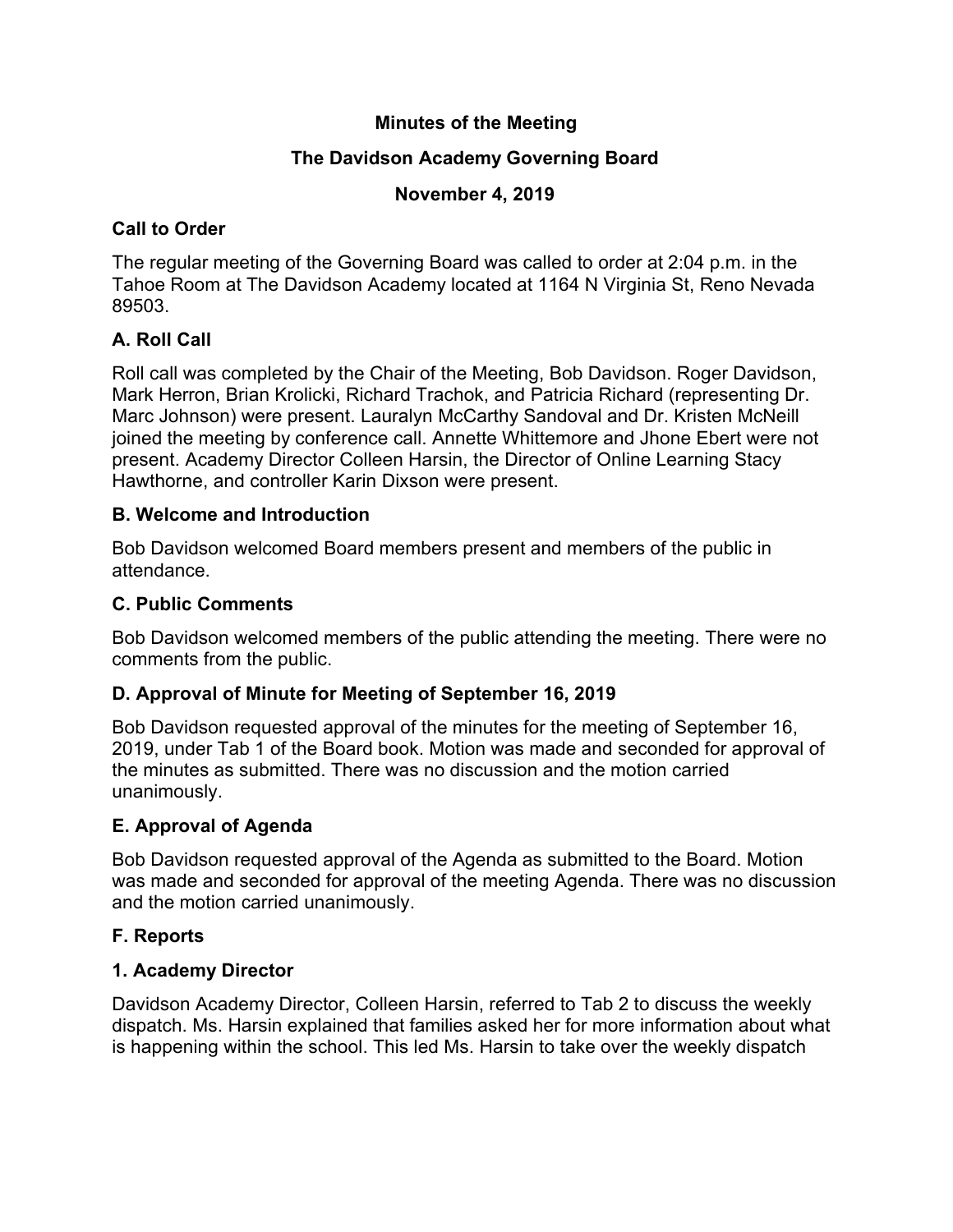## **Minutes of the Meeting**

# **The Davidson Academy Governing Board**

## **November 4, 2019**

## **Call to Order**

The regular meeting of the Governing Board was called to order at 2:04 p.m. in the Tahoe Room at The Davidson Academy located at 1164 N Virginia St, Reno Nevada 89503.

# **A. Roll Call**

Roll call was completed by the Chair of the Meeting, Bob Davidson. Roger Davidson, Mark Herron, Brian Krolicki, Richard Trachok, and Patricia Richard (representing Dr. Marc Johnson) were present. Lauralyn McCarthy Sandoval and Dr. Kristen McNeill joined the meeting by conference call. Annette Whittemore and Jhone Ebert were not present. Academy Director Colleen Harsin, the Director of Online Learning Stacy Hawthorne, and controller Karin Dixson were present.

## **B. Welcome and Introduction**

Bob Davidson welcomed Board members present and members of the public in attendance.

# **C. Public Comments**

Bob Davidson welcomed members of the public attending the meeting. There were no comments from the public.

## **D. Approval of Minute for Meeting of September 16, 2019**

Bob Davidson requested approval of the minutes for the meeting of September 16, 2019, under Tab 1 of the Board book. Motion was made and seconded for approval of the minutes as submitted. There was no discussion and the motion carried unanimously.

## **E. Approval of Agenda**

Bob Davidson requested approval of the Agenda as submitted to the Board. Motion was made and seconded for approval of the meeting Agenda. There was no discussion and the motion carried unanimously.

# **F. Reports**

## **1. Academy Director**

Davidson Academy Director, Colleen Harsin, referred to Tab 2 to discuss the weekly dispatch. Ms. Harsin explained that families asked her for more information about what is happening within the school. This led Ms. Harsin to take over the weekly dispatch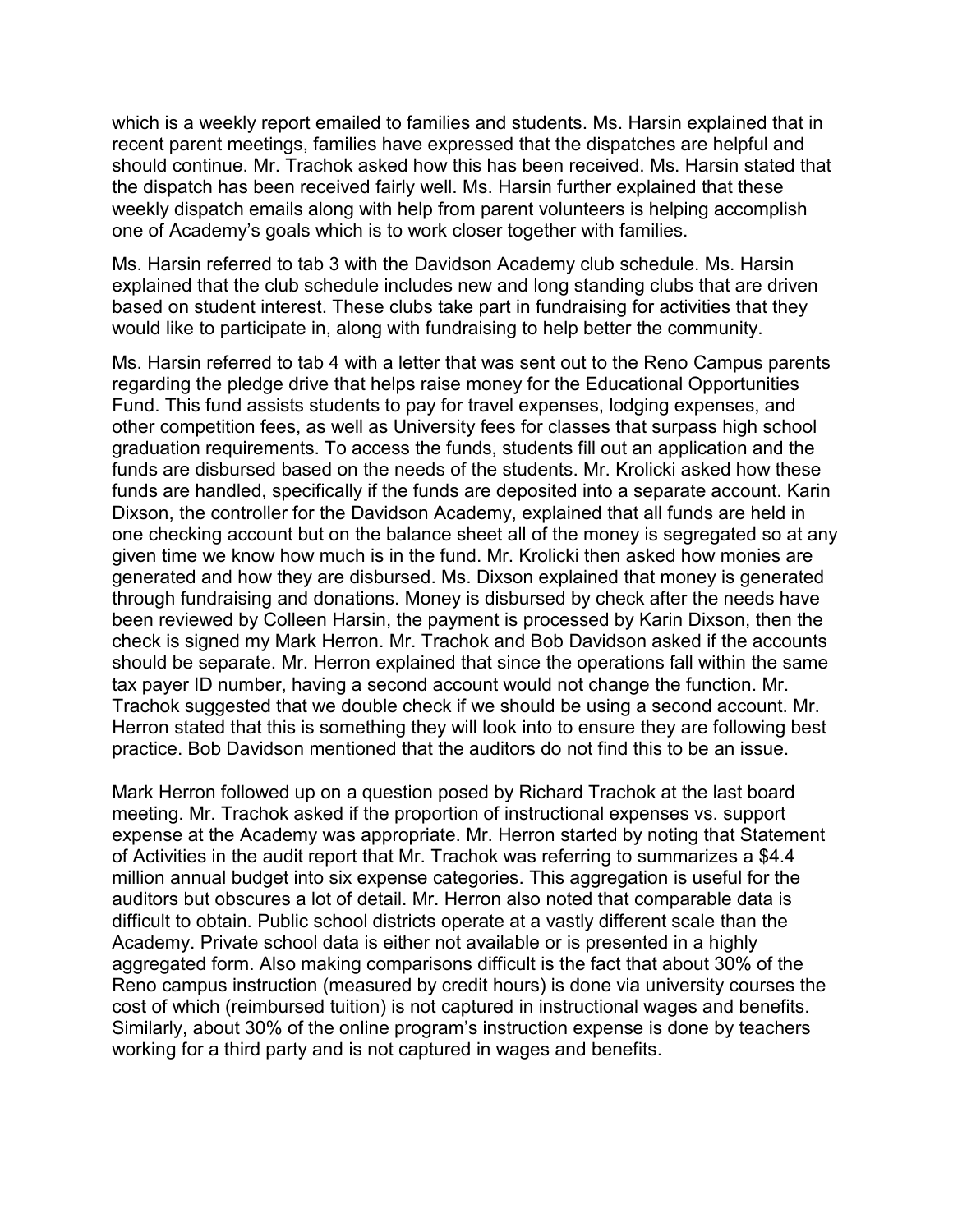which is a weekly report emailed to families and students. Ms. Harsin explained that in recent parent meetings, families have expressed that the dispatches are helpful and should continue. Mr. Trachok asked how this has been received. Ms. Harsin stated that the dispatch has been received fairly well. Ms. Harsin further explained that these weekly dispatch emails along with help from parent volunteers is helping accomplish one of Academy's goals which is to work closer together with families.

Ms. Harsin referred to tab 3 with the Davidson Academy club schedule. Ms. Harsin explained that the club schedule includes new and long standing clubs that are driven based on student interest. These clubs take part in fundraising for activities that they would like to participate in, along with fundraising to help better the community.

Ms. Harsin referred to tab 4 with a letter that was sent out to the Reno Campus parents regarding the pledge drive that helps raise money for the Educational Opportunities Fund. This fund assists students to pay for travel expenses, lodging expenses, and other competition fees, as well as University fees for classes that surpass high school graduation requirements. To access the funds, students fill out an application and the funds are disbursed based on the needs of the students. Mr. Krolicki asked how these funds are handled, specifically if the funds are deposited into a separate account. Karin Dixson, the controller for the Davidson Academy, explained that all funds are held in one checking account but on the balance sheet all of the money is segregated so at any given time we know how much is in the fund. Mr. Krolicki then asked how monies are generated and how they are disbursed. Ms. Dixson explained that money is generated through fundraising and donations. Money is disbursed by check after the needs have been reviewed by Colleen Harsin, the payment is processed by Karin Dixson, then the check is signed my Mark Herron. Mr. Trachok and Bob Davidson asked if the accounts should be separate. Mr. Herron explained that since the operations fall within the same tax payer ID number, having a second account would not change the function. Mr. Trachok suggested that we double check if we should be using a second account. Mr. Herron stated that this is something they will look into to ensure they are following best practice. Bob Davidson mentioned that the auditors do not find this to be an issue.

Mark Herron followed up on a question posed by Richard Trachok at the last board meeting. Mr. Trachok asked if the proportion of instructional expenses vs. support expense at the Academy was appropriate. Mr. Herron started by noting that Statement of Activities in the audit report that Mr. Trachok was referring to summarizes a \$4.4 million annual budget into six expense categories. This aggregation is useful for the auditors but obscures a lot of detail. Mr. Herron also noted that comparable data is difficult to obtain. Public school districts operate at a vastly different scale than the Academy. Private school data is either not available or is presented in a highly aggregated form. Also making comparisons difficult is the fact that about 30% of the Reno campus instruction (measured by credit hours) is done via university courses the cost of which (reimbursed tuition) is not captured in instructional wages and benefits. Similarly, about 30% of the online program's instruction expense is done by teachers working for a third party and is not captured in wages and benefits.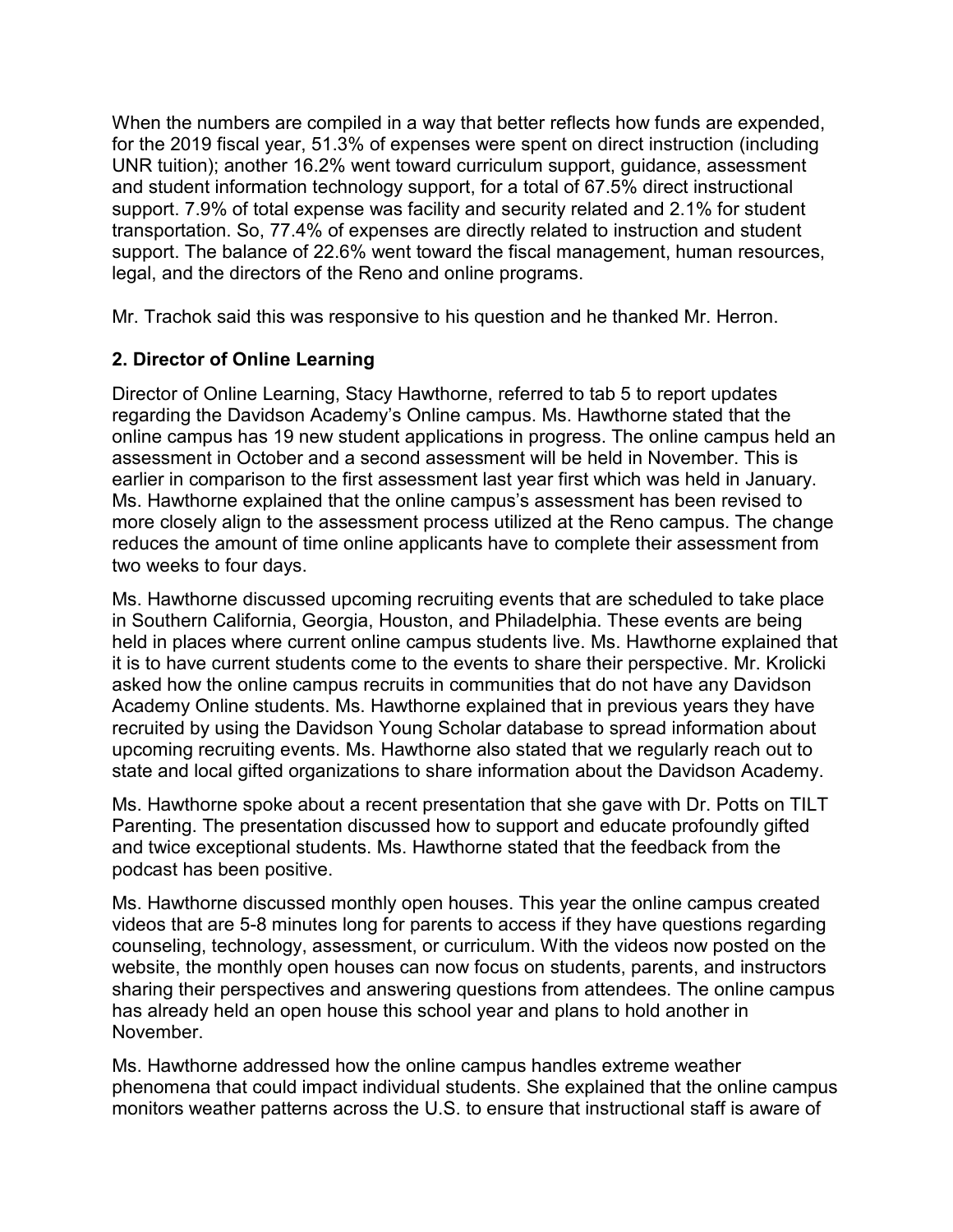When the numbers are compiled in a way that better reflects how funds are expended, for the 2019 fiscal year, 51.3% of expenses were spent on direct instruction (including UNR tuition); another 16.2% went toward curriculum support, guidance, assessment and student information technology support, for a total of 67.5% direct instructional support. 7.9% of total expense was facility and security related and 2.1% for student transportation. So, 77.4% of expenses are directly related to instruction and student support. The balance of 22.6% went toward the fiscal management, human resources, legal, and the directors of the Reno and online programs.

Mr. Trachok said this was responsive to his question and he thanked Mr. Herron.

# **2. Director of Online Learning**

Director of Online Learning, Stacy Hawthorne, referred to tab 5 to report updates regarding the Davidson Academy's Online campus. Ms. Hawthorne stated that the online campus has 19 new student applications in progress. The online campus held an assessment in October and a second assessment will be held in November. This is earlier in comparison to the first assessment last year first which was held in January. Ms. Hawthorne explained that the online campus's assessment has been revised to more closely align to the assessment process utilized at the Reno campus. The change reduces the amount of time online applicants have to complete their assessment from two weeks to four days.

Ms. Hawthorne discussed upcoming recruiting events that are scheduled to take place in Southern California, Georgia, Houston, and Philadelphia. These events are being held in places where current online campus students live. Ms. Hawthorne explained that it is to have current students come to the events to share their perspective. Mr. Krolicki asked how the online campus recruits in communities that do not have any Davidson Academy Online students. Ms. Hawthorne explained that in previous years they have recruited by using the Davidson Young Scholar database to spread information about upcoming recruiting events. Ms. Hawthorne also stated that we regularly reach out to state and local gifted organizations to share information about the Davidson Academy.

Ms. Hawthorne spoke about a recent presentation that she gave with Dr. Potts on TILT Parenting. The presentation discussed how to support and educate profoundly gifted and twice exceptional students. Ms. Hawthorne stated that the feedback from the podcast has been positive.

Ms. Hawthorne discussed monthly open houses. This year the online campus created videos that are 5-8 minutes long for parents to access if they have questions regarding counseling, technology, assessment, or curriculum. With the videos now posted on the website, the monthly open houses can now focus on students, parents, and instructors sharing their perspectives and answering questions from attendees. The online campus has already held an open house this school year and plans to hold another in November.

Ms. Hawthorne addressed how the online campus handles extreme weather phenomena that could impact individual students. She explained that the online campus monitors weather patterns across the U.S. to ensure that instructional staff is aware of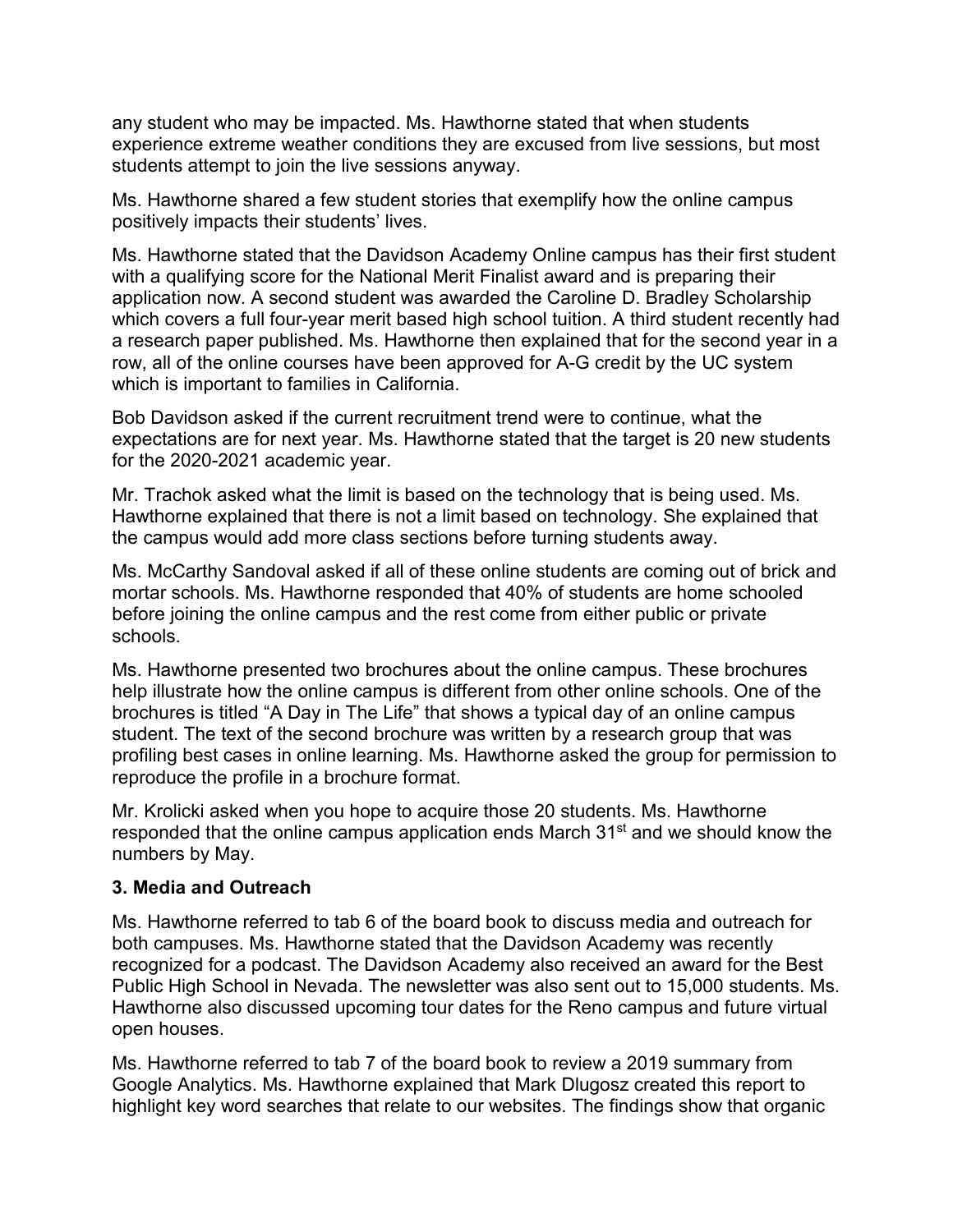any student who may be impacted. Ms. Hawthorne stated that when students experience extreme weather conditions they are excused from live sessions, but most students attempt to join the live sessions anyway.

Ms. Hawthorne shared a few student stories that exemplify how the online campus positively impacts their students' lives.

Ms. Hawthorne stated that the Davidson Academy Online campus has their first student with a qualifying score for the National Merit Finalist award and is preparing their application now. A second student was awarded the Caroline D. Bradley Scholarship which covers a full four-year merit based high school tuition. A third student recently had a research paper published. Ms. Hawthorne then explained that for the second year in a row, all of the online courses have been approved for A-G credit by the UC system which is important to families in California.

Bob Davidson asked if the current recruitment trend were to continue, what the expectations are for next year. Ms. Hawthorne stated that the target is 20 new students for the 2020-2021 academic year.

Mr. Trachok asked what the limit is based on the technology that is being used. Ms. Hawthorne explained that there is not a limit based on technology. She explained that the campus would add more class sections before turning students away.

Ms. McCarthy Sandoval asked if all of these online students are coming out of brick and mortar schools. Ms. Hawthorne responded that 40% of students are home schooled before joining the online campus and the rest come from either public or private schools.

Ms. Hawthorne presented two brochures about the online campus. These brochures help illustrate how the online campus is different from other online schools. One of the brochures is titled "A Day in The Life" that shows a typical day of an online campus student. The text of the second brochure was written by a research group that was profiling best cases in online learning. Ms. Hawthorne asked the group for permission to reproduce the profile in a brochure format.

Mr. Krolicki asked when you hope to acquire those 20 students. Ms. Hawthorne responded that the online campus application ends March 31<sup>st</sup> and we should know the numbers by May.

### **3. Media and Outreach**

Ms. Hawthorne referred to tab 6 of the board book to discuss media and outreach for both campuses. Ms. Hawthorne stated that the Davidson Academy was recently recognized for a podcast. The Davidson Academy also received an award for the Best Public High School in Nevada. The newsletter was also sent out to 15,000 students. Ms. Hawthorne also discussed upcoming tour dates for the Reno campus and future virtual open houses.

Ms. Hawthorne referred to tab 7 of the board book to review a 2019 summary from Google Analytics. Ms. Hawthorne explained that Mark Dlugosz created this report to highlight key word searches that relate to our websites. The findings show that organic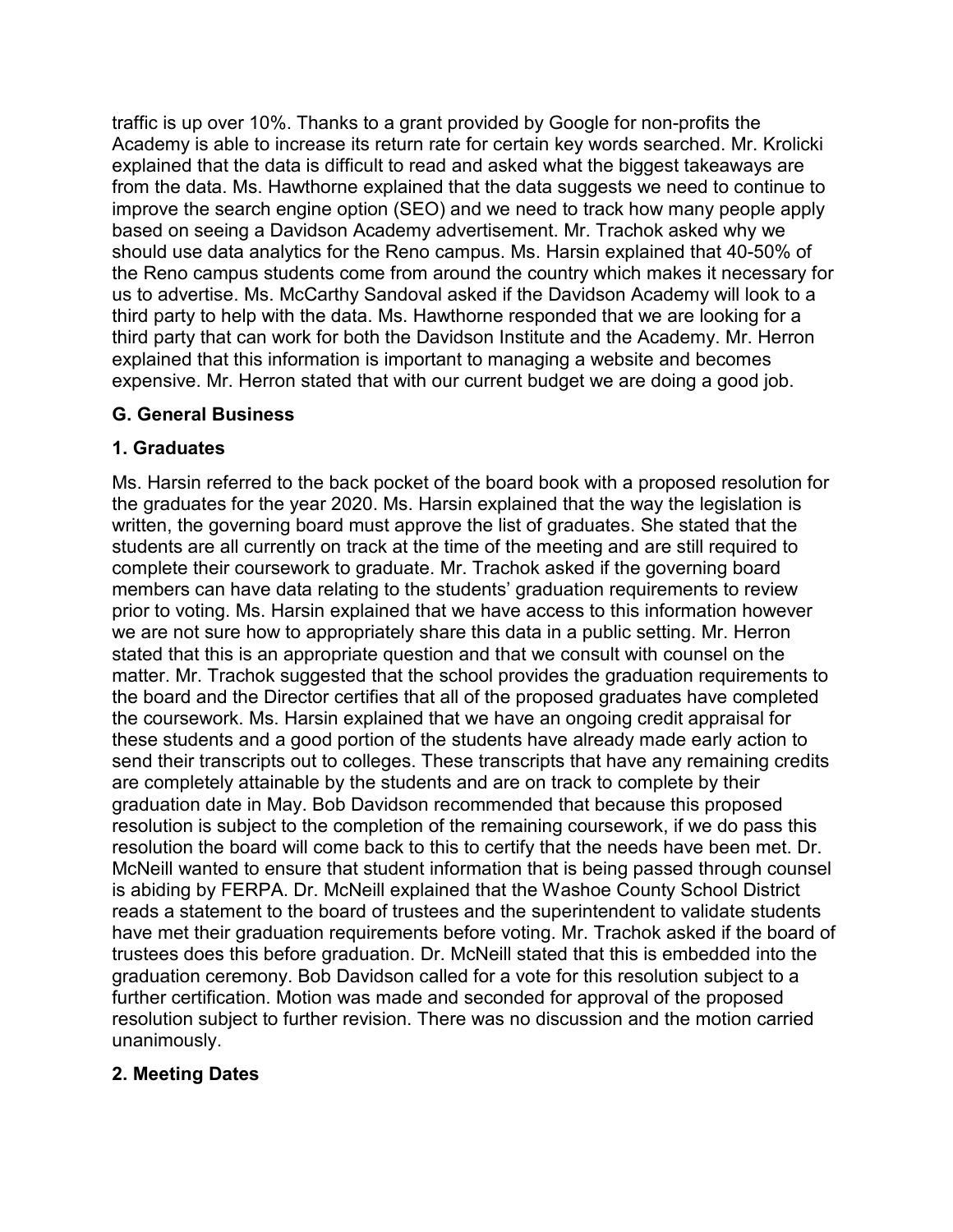traffic is up over 10%. Thanks to a grant provided by Google for non-profits the Academy is able to increase its return rate for certain key words searched. Mr. Krolicki explained that the data is difficult to read and asked what the biggest takeaways are from the data. Ms. Hawthorne explained that the data suggests we need to continue to improve the search engine option (SEO) and we need to track how many people apply based on seeing a Davidson Academy advertisement. Mr. Trachok asked why we should use data analytics for the Reno campus. Ms. Harsin explained that 40-50% of the Reno campus students come from around the country which makes it necessary for us to advertise. Ms. McCarthy Sandoval asked if the Davidson Academy will look to a third party to help with the data. Ms. Hawthorne responded that we are looking for a third party that can work for both the Davidson Institute and the Academy. Mr. Herron explained that this information is important to managing a website and becomes expensive. Mr. Herron stated that with our current budget we are doing a good job.

### **G. General Business**

## **1. Graduates**

Ms. Harsin referred to the back pocket of the board book with a proposed resolution for the graduates for the year 2020. Ms. Harsin explained that the way the legislation is written, the governing board must approve the list of graduates. She stated that the students are all currently on track at the time of the meeting and are still required to complete their coursework to graduate. Mr. Trachok asked if the governing board members can have data relating to the students' graduation requirements to review prior to voting. Ms. Harsin explained that we have access to this information however we are not sure how to appropriately share this data in a public setting. Mr. Herron stated that this is an appropriate question and that we consult with counsel on the matter. Mr. Trachok suggested that the school provides the graduation requirements to the board and the Director certifies that all of the proposed graduates have completed the coursework. Ms. Harsin explained that we have an ongoing credit appraisal for these students and a good portion of the students have already made early action to send their transcripts out to colleges. These transcripts that have any remaining credits are completely attainable by the students and are on track to complete by their graduation date in May. Bob Davidson recommended that because this proposed resolution is subject to the completion of the remaining coursework, if we do pass this resolution the board will come back to this to certify that the needs have been met. Dr. McNeill wanted to ensure that student information that is being passed through counsel is abiding by FERPA. Dr. McNeill explained that the Washoe County School District reads a statement to the board of trustees and the superintendent to validate students have met their graduation requirements before voting. Mr. Trachok asked if the board of trustees does this before graduation. Dr. McNeill stated that this is embedded into the graduation ceremony. Bob Davidson called for a vote for this resolution subject to a further certification. Motion was made and seconded for approval of the proposed resolution subject to further revision. There was no discussion and the motion carried unanimously.

### **2. Meeting Dates**